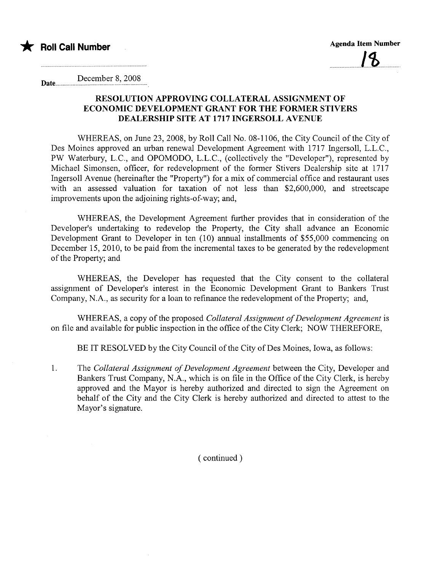

Date............. December 8, 2008

## RESOLUTION APPROVING COLLATERAL ASSIGNMENT OF ECONOMIC DEVELOPMENT GRANT FOR THE FORMER STIVERS DEALERSHIP SITE AT 1717 INGERSOLL AVENUE

WHEREAS, on June 23, 2008, by Roll Call No. 08-1106, the City Council of the City of Des Moines approved an urban renewal Development Agreement with 1717 Ingersoll, L.L.C., PW Waterbury, L.C., and OPOMODO, L.L.c., (collectively the "Developer"), represented by Michael Simonsen, officer, for redevelopment of the former Stivers Dealership site at 1717 Ingersoll Avenue (hereinafter the "Property") for a mix of commercial office and restaurant uses with an assessed valuation for taxation of not less than \$2,600,000, and streetscape improvements upon the adjoining rights-of-way; and,

WHEREAS, the Development Agreement further provides that in consideration of the Developer's undertaking to redevelop the Property, the City shall advance an Economic Development Grant to Developer in ten (10) annual installments of \$55,000 commencing on December 15, 2010, to be paid from the incremental taxes to be generated by the redevelopment of the Property; and

WHEREAS, the Developer has requested that the City consent to the collateral assignment of Developer's interest in the Economic Development Grant to Bankers Trust Company, N.A., as security for a loan to refinance the redevelopment of the Property; and,

WHEREAS, a copy of the proposed Collateral Assignment of Development Agreement is on file and available for public inspection in the office of the City Clerk; NOW THEREFORE,

BE IT RESOLVED by the City Council of the City of Des Moines, Iowa, as follows:

1. The Collateral Assignment of Development Agreement between the City, Developer and Bankers Trust Company, N.A., which is on file in the Office of the City Clerk, is hereby approved and the Mayor is hereby authorized and directed to sign the Agreement on behalf of the City and the City Clerk is hereby authorized and directed to attest to the Mayor's signature.

( continued)